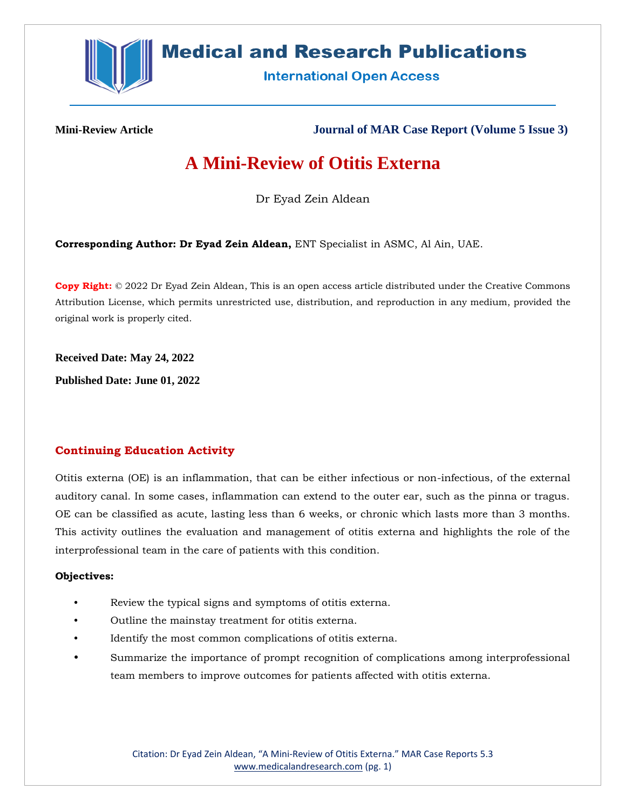

# **Medical and Research Publications**

**International Open Access** 

**Mini-Review Article Journal of MAR Case Report (Volume 5 Issue 3)**

# **A Mini-Review of Otitis Externa**

Dr Eyad Zein Aldean

**Corresponding Author: Dr Eyad Zein Aldean,** ENT Specialist in ASMC, Al Ain, UAE.

**Copy Right:** © 2022 Dr Eyad Zein Aldean, This is an open access article distributed under the Creative Commons Attribution License, which permits unrestricted use, distribution, and reproduction in any medium, provided the original work is properly cited.

**Received Date: May 24, 2022**

**Published Date: June 01, 2022**

# **Continuing Education Activity**

Otitis externa (OE) is an inflammation, that can be either infectious or non-infectious, of the external auditory canal. In some cases, inflammation can extend to the outer ear, such as the pinna or tragus. OE can be classified as acute, lasting less than 6 weeks, or chronic which lasts more than 3 months. This activity outlines the evaluation and management of otitis externa and highlights the role of the interprofessional team in the care of patients with this condition.

#### **Objectives:**

- Review the typical signs and symptoms of otitis externa.
- Outline the mainstay treatment for otitis externa.
- Identify the most common complications of otitis externa.
- Summarize the importance of prompt recognition of complications among interprofessional team members to improve outcomes for patients affected with otitis externa.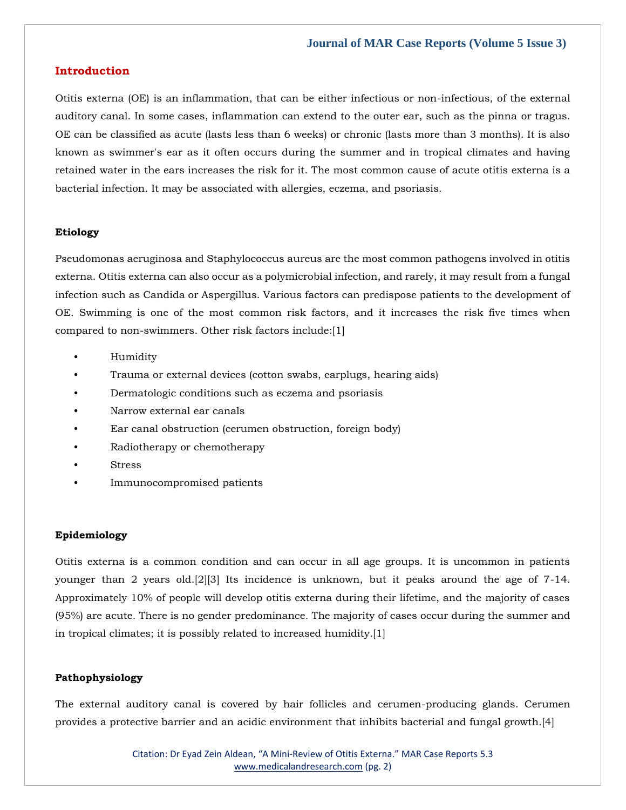#### **Introduction**

Otitis externa (OE) is an inflammation, that can be either infectious or non-infectious, of the external auditory canal. In some cases, inflammation can extend to the outer ear, such as the pinna or tragus. OE can be classified as acute (lasts less than 6 weeks) or chronic (lasts more than 3 months). It is also known as swimmer's ear as it often occurs during the summer and in tropical climates and having retained water in the ears increases the risk for it. The most common cause of acute otitis externa is a bacterial infection. It may be associated with allergies, eczema, and psoriasis.

#### **Etiology**

Pseudomonas aeruginosa and Staphylococcus aureus are the most common pathogens involved in otitis externa. Otitis externa can also occur as a polymicrobial infection, and rarely, it may result from a fungal infection such as Candida or Aspergillus. Various factors can predispose patients to the development of OE. Swimming is one of the most common risk factors, and it increases the risk five times when compared to non-swimmers. Other risk factors include:[1]

- Humidity
- Trauma or external devices (cotton swabs, earplugs, hearing aids)
- Dermatologic conditions such as eczema and psoriasis
- Narrow external ear canals
- Ear canal obstruction (cerumen obstruction, foreign body)
- Radiotherapy or chemotherapy
- **Stress**
- Immunocompromised patients

### **Epidemiology**

Otitis externa is a common condition and can occur in all age groups. It is uncommon in patients younger than 2 years old.[2][3] Its incidence is unknown, but it peaks around the age of 7-14. Approximately 10% of people will develop otitis externa during their lifetime, and the majority of cases (95%) are acute. There is no gender predominance. The majority of cases occur during the summer and in tropical climates; it is possibly related to increased humidity.[1]

#### **Pathophysiology**

The external auditory canal is covered by hair follicles and cerumen-producing glands. Cerumen provides a protective barrier and an acidic environment that inhibits bacterial and fungal growth.[4]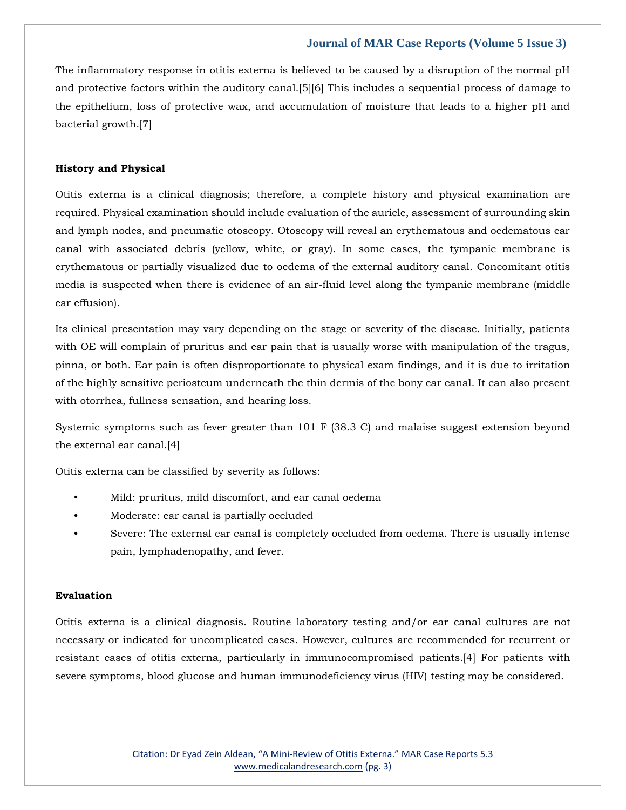The inflammatory response in otitis externa is believed to be caused by a disruption of the normal pH and protective factors within the auditory canal.[5][6] This includes a sequential process of damage to the epithelium, loss of protective wax, and accumulation of moisture that leads to a higher pH and bacterial growth.[7]

#### **History and Physical**

Otitis externa is a clinical diagnosis; therefore, a complete history and physical examination are required. Physical examination should include evaluation of the auricle, assessment of surrounding skin and lymph nodes, and pneumatic otoscopy. Otoscopy will reveal an erythematous and oedematous ear canal with associated debris (yellow, white, or gray). In some cases, the tympanic membrane is erythematous or partially visualized due to oedema of the external auditory canal. Concomitant otitis media is suspected when there is evidence of an air-fluid level along the tympanic membrane (middle ear effusion).

Its clinical presentation may vary depending on the stage or severity of the disease. Initially, patients with OE will complain of pruritus and ear pain that is usually worse with manipulation of the tragus, pinna, or both. Ear pain is often disproportionate to physical exam findings, and it is due to irritation of the highly sensitive periosteum underneath the thin dermis of the bony ear canal. It can also present with otorrhea, fullness sensation, and hearing loss.

Systemic symptoms such as fever greater than 101 F (38.3 C) and malaise suggest extension beyond the external ear canal.[4]

Otitis externa can be classified by severity as follows:

- Mild: pruritus, mild discomfort, and ear canal oedema
- Moderate: ear canal is partially occluded
- Severe: The external ear canal is completely occluded from oedema. There is usually intense pain, lymphadenopathy, and fever.

#### **Evaluation**

Otitis externa is a clinical diagnosis. Routine laboratory testing and/or ear canal cultures are not necessary or indicated for uncomplicated cases. However, cultures are recommended for recurrent or resistant cases of otitis externa, particularly in immunocompromised patients.[4] For patients with severe symptoms, blood glucose and human immunodeficiency virus (HIV) testing may be considered.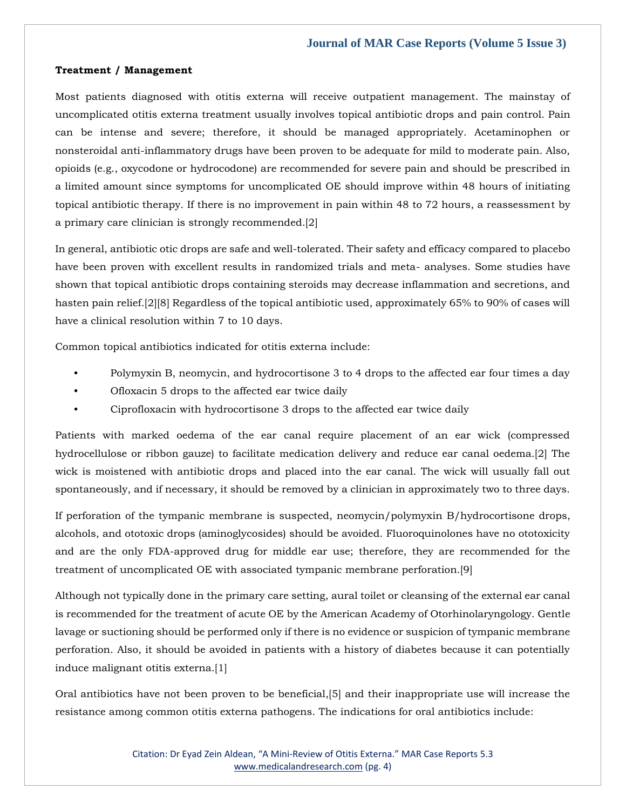#### **Treatment / Management**

Most patients diagnosed with otitis externa will receive outpatient management. The mainstay of uncomplicated otitis externa treatment usually involves topical antibiotic drops and pain control. Pain can be intense and severe; therefore, it should be managed appropriately. Acetaminophen or nonsteroidal anti-inflammatory drugs have been proven to be adequate for mild to moderate pain. Also, opioids (e.g., oxycodone or hydrocodone) are recommended for severe pain and should be prescribed in a limited amount since symptoms for uncomplicated OE should improve within 48 hours of initiating topical antibiotic therapy. If there is no improvement in pain within 48 to 72 hours, a reassessment by a primary care clinician is strongly recommended.[2]

In general, antibiotic otic drops are safe and well-tolerated. Their safety and efficacy compared to placebo have been proven with excellent results in randomized trials and meta- analyses. Some studies have shown that topical antibiotic drops containing steroids may decrease inflammation and secretions, and hasten pain relief.[2][8] Regardless of the topical antibiotic used, approximately 65% to 90% of cases will have a clinical resolution within 7 to 10 days.

Common topical antibiotics indicated for otitis externa include:

- Polymyxin B, neomycin, and hydrocortisone 3 to 4 drops to the affected ear four times a day
- Ofloxacin 5 drops to the affected ear twice daily
- Ciprofloxacin with hydrocortisone 3 drops to the affected ear twice daily

Patients with marked oedema of the ear canal require placement of an ear wick (compressed hydrocellulose or ribbon gauze) to facilitate medication delivery and reduce ear canal oedema.[2] The wick is moistened with antibiotic drops and placed into the ear canal. The wick will usually fall out spontaneously, and if necessary, it should be removed by a clinician in approximately two to three days.

If perforation of the tympanic membrane is suspected, neomycin/polymyxin B/hydrocortisone drops, alcohols, and ototoxic drops (aminoglycosides) should be avoided. Fluoroquinolones have no ototoxicity and are the only FDA-approved drug for middle ear use; therefore, they are recommended for the treatment of uncomplicated OE with associated tympanic membrane perforation.[9]

Although not typically done in the primary care setting, aural toilet or cleansing of the external ear canal is recommended for the treatment of acute OE by the American Academy of Otorhinolaryngology. Gentle lavage or suctioning should be performed only if there is no evidence or suspicion of tympanic membrane perforation. Also, it should be avoided in patients with a history of diabetes because it can potentially induce malignant otitis externa.[1]

Oral antibiotics have not been proven to be beneficial,[5] and their inappropriate use will increase the resistance among common otitis externa pathogens. The indications for oral antibiotics include: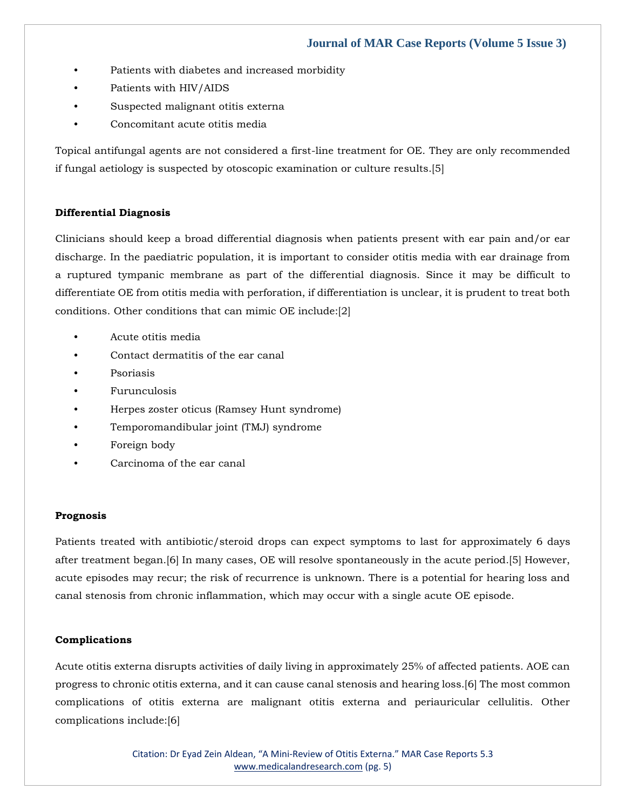- Patients with diabetes and increased morbidity
- Patients with HIV/AIDS
- Suspected malignant otitis externa
- Concomitant acute otitis media

Topical antifungal agents are not considered a first-line treatment for OE. They are only recommended if fungal aetiology is suspected by otoscopic examination or culture results.[5]

### **Differential Diagnosis**

Clinicians should keep a broad differential diagnosis when patients present with ear pain and/or ear discharge. In the paediatric population, it is important to consider otitis media with ear drainage from a ruptured tympanic membrane as part of the differential diagnosis. Since it may be difficult to differentiate OE from otitis media with perforation, if differentiation is unclear, it is prudent to treat both conditions. Other conditions that can mimic OE include:[2]

- Acute otitis media
- Contact dermatitis of the ear canal
- **Psoriasis**
- Furunculosis
- Herpes zoster oticus (Ramsey Hunt syndrome)
- Temporomandibular joint (TMJ) syndrome
- Foreign body
- Carcinoma of the ear canal

#### **Prognosis**

Patients treated with antibiotic/steroid drops can expect symptoms to last for approximately 6 days after treatment began.[6] In many cases, OE will resolve spontaneously in the acute period.[5] However, acute episodes may recur; the risk of recurrence is unknown. There is a potential for hearing loss and canal stenosis from chronic inflammation, which may occur with a single acute OE episode.

#### **Complications**

Acute otitis externa disrupts activities of daily living in approximately 25% of affected patients. AOE can progress to chronic otitis externa, and it can cause canal stenosis and hearing loss.[6] The most common complications of otitis externa are malignant otitis externa and periauricular cellulitis. Other complications include:[6]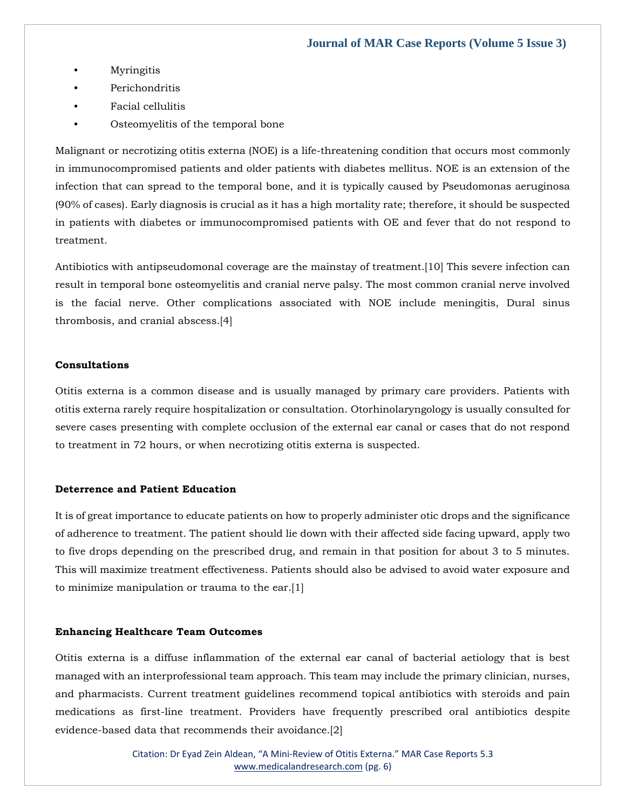- **Myringitis**
- Perichondritis
- Facial cellulitis
- Osteomyelitis of the temporal bone

Malignant or necrotizing otitis externa (NOE) is a life-threatening condition that occurs most commonly in immunocompromised patients and older patients with diabetes mellitus. NOE is an extension of the infection that can spread to the temporal bone, and it is typically caused by Pseudomonas aeruginosa (90% of cases). Early diagnosis is crucial as it has a high mortality rate; therefore, it should be suspected in patients with diabetes or immunocompromised patients with OE and fever that do not respond to treatment.

Antibiotics with antipseudomonal coverage are the mainstay of treatment.[10] This severe infection can result in temporal bone osteomyelitis and cranial nerve palsy. The most common cranial nerve involved is the facial nerve. Other complications associated with NOE include meningitis, Dural sinus thrombosis, and cranial abscess.[4]

#### **Consultations**

Otitis externa is a common disease and is usually managed by primary care providers. Patients with otitis externa rarely require hospitalization or consultation. Otorhinolaryngology is usually consulted for severe cases presenting with complete occlusion of the external ear canal or cases that do not respond to treatment in 72 hours, or when necrotizing otitis externa is suspected.

#### **Deterrence and Patient Education**

It is of great importance to educate patients on how to properly administer otic drops and the significance of adherence to treatment. The patient should lie down with their affected side facing upward, apply two to five drops depending on the prescribed drug, and remain in that position for about 3 to 5 minutes. This will maximize treatment effectiveness. Patients should also be advised to avoid water exposure and to minimize manipulation or trauma to the ear.[1]

#### **Enhancing Healthcare Team Outcomes**

Otitis externa is a diffuse inflammation of the external ear canal of bacterial aetiology that is best managed with an interprofessional team approach. This team may include the primary clinician, nurses, and pharmacists. Current treatment guidelines recommend topical antibiotics with steroids and pain medications as first-line treatment. Providers have frequently prescribed oral antibiotics despite evidence-based data that recommends their avoidance.[2]